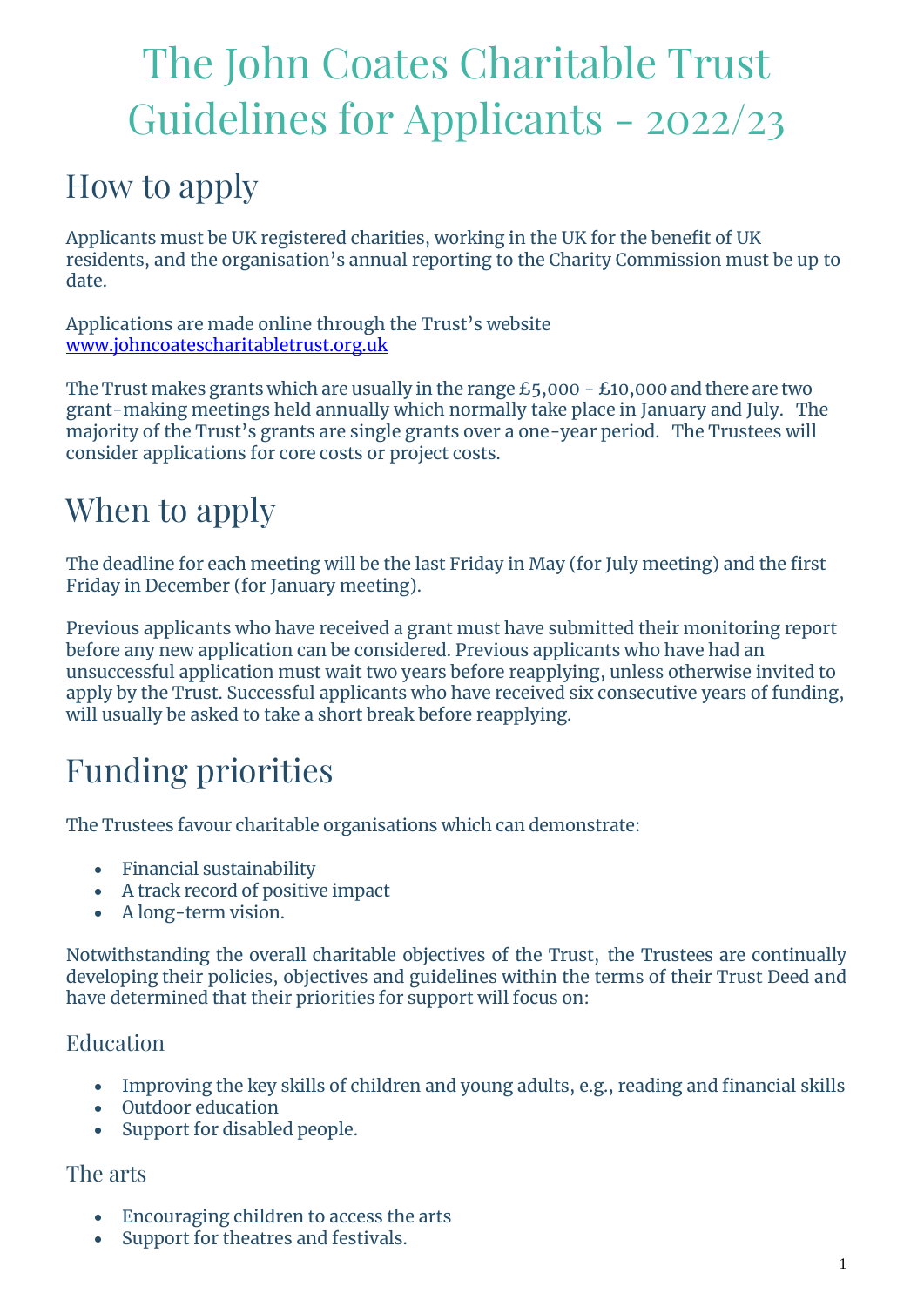# The John Coates Charitable Trust Guidelines for Applicants - 2022/23

### How to apply

Applicants must be UK registered charities, working in the UK for the benefit of UK residents, and the organisation's annual reporting to the Charity Commission must be up to date.

Applications are made online through the Trust's website [www.johncoatescharitabletrust.org.uk](http://www.johncoatescharitabletrust.org.uk/)

The Trust makes grants which are usually in the range  $£5,000 - £10,000$  and there are two grant-making meetings held annually which normally take place in January and July. The majority of the Trust's grants are single grants over a one-year period. The Trustees will consider applications for core costs or project costs.

### When to apply

The deadline for each meeting will be the last Friday in May (for July meeting) and the first Friday in December (for January meeting).

Previous applicants who have received a grant must have submitted their monitoring report before any new application can be considered. Previous applicants who have had an unsuccessful application must wait two years before reapplying, unless otherwise invited to apply by the Trust. Successful applicants who have received six consecutive years of funding, will usually be asked to take a short break before reapplying.

### Funding priorities

The Trustees favour charitable organisations which can demonstrate:

- Financial sustainability
- A track record of positive impact
- A long-term vision.

Notwithstanding the overall charitable objectives of the Trust, the Trustees are continually developing their policies, objectives and guidelines within the terms of their Trust Deed and have determined that their priorities for support will focus on:

#### Education

- Improving the key skills of children and young adults, e.g., reading and financial skills
- Outdoor education
- Support for disabled people.

#### The arts

- Encouraging children to access the arts
- Support for theatres and festivals.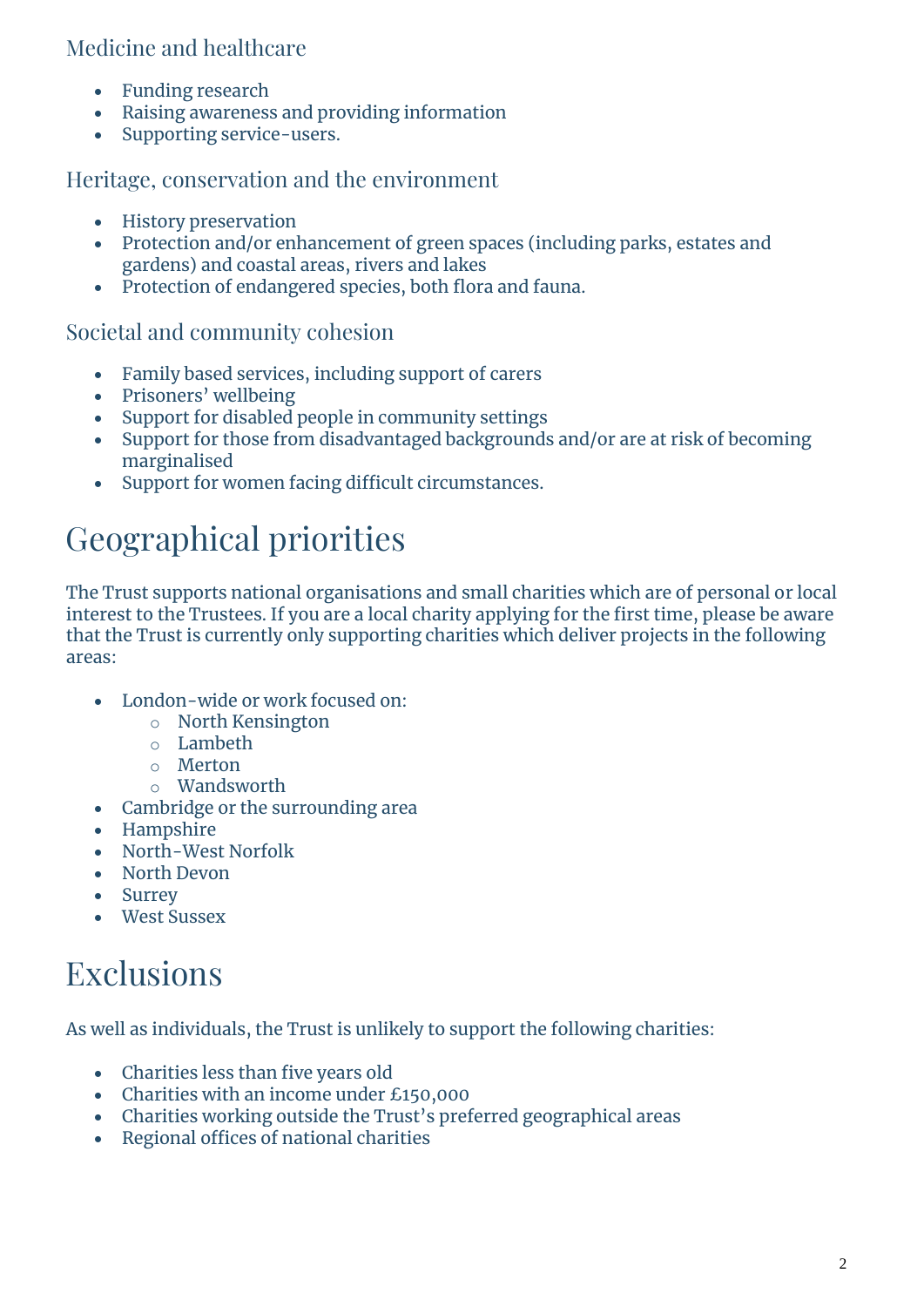#### Medicine and healthcare

- Funding research
- Raising awareness and providing information
- Supporting service-users.

#### Heritage, conservation and the environment

- History preservation
- Protection and/or enhancement of green spaces (including parks, estates and gardens) and coastal areas, rivers and lakes
- Protection of endangered species, both flora and fauna.

#### Societal and community cohesion

- Family based services, including support of carers
- Prisoners' wellbeing
- Support for disabled people in community settings
- Support for those from disadvantaged backgrounds and/or are at risk of becoming marginalised
- Support for women facing difficult circumstances.

# Geographical priorities

The Trust supports national organisations and small charities which are of personal or local interest to the Trustees. If you are a local charity applying for the first time, please be aware that the Trust is currently only supporting charities which deliver projects in the following areas:

- London-wide or work focused on:
	- o North Kensington
	- o Lambeth
	- o Merton
	- o Wandsworth
- Cambridge or the surrounding area
- Hampshire
- North-West Norfolk
- North Devon
- Surrey
- West Sussex

## Exclusions

As well as individuals, the Trust is unlikely to support the following charities:

- Charities less than five years old
- Charities with an income under £150,000
- Charities working outside the Trust's preferred geographical areas
- Regional offices of national charities